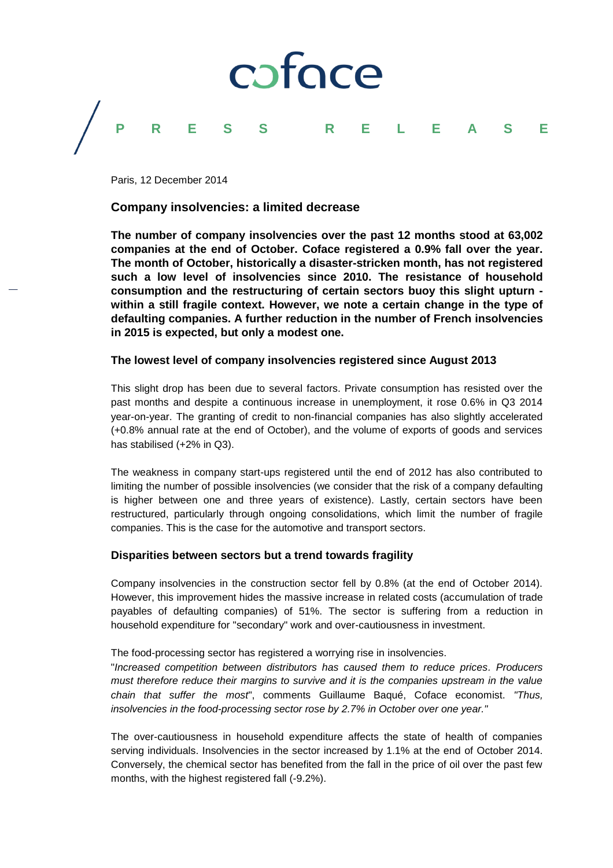

Paris, 12 December 2014

# **Company insolvencies: a limited decrease**

**The number of company insolvencies over the past 12 months stood at 63,002 companies at the end of October. Coface registered a 0.9% fall over the year. The month of October, historically a disaster-stricken month, has not registered such a low level of insolvencies since 2010. The resistance of household consumption and the restructuring of certain sectors buoy this slight upturn within a still fragile context. However, we note a certain change in the type of defaulting companies. A further reduction in the number of French insolvencies in 2015 is expected, but only a modest one.**

# **The lowest level of company insolvencies registered since August 2013**

This slight drop has been due to several factors. Private consumption has resisted over the past months and despite a continuous increase in unemployment, it rose 0.6% in Q3 2014 year-on-year. The granting of credit to non-financial companies has also slightly accelerated (+0.8% annual rate at the end of October), and the volume of exports of goods and services has stabilised (+2% in Q3).

The weakness in company start-ups registered until the end of 2012 has also contributed to limiting the number of possible insolvencies (we consider that the risk of a company defaulting is higher between one and three years of existence). Lastly, certain sectors have been restructured, particularly through ongoing consolidations, which limit the number of fragile companies. This is the case for the automotive and transport sectors.

# **Disparities between sectors but a trend towards fragility**

Company insolvencies in the construction sector fell by 0.8% (at the end of October 2014). However, this improvement hides the massive increase in related costs (accumulation of trade payables of defaulting companies) of 51%. The sector is suffering from a reduction in household expenditure for "secondary" work and over-cautiousness in investment.

The food-processing sector has registered a worrying rise in insolvencies.

"*Increased competition between distributors has caused them to reduce prices. Producers must therefore reduce their margins to survive and it is the companies upstream in the value chain that suffer the most*", comments Guillaume Baqué, Coface economist. *"Thus, insolvencies in the food-processing sector rose by 2.7% in October over one year."*

The over-cautiousness in household expenditure affects the state of health of companies serving individuals. Insolvencies in the sector increased by 1.1% at the end of October 2014. Conversely, the chemical sector has benefited from the fall in the price of oil over the past few months, with the highest registered fall (-9.2%).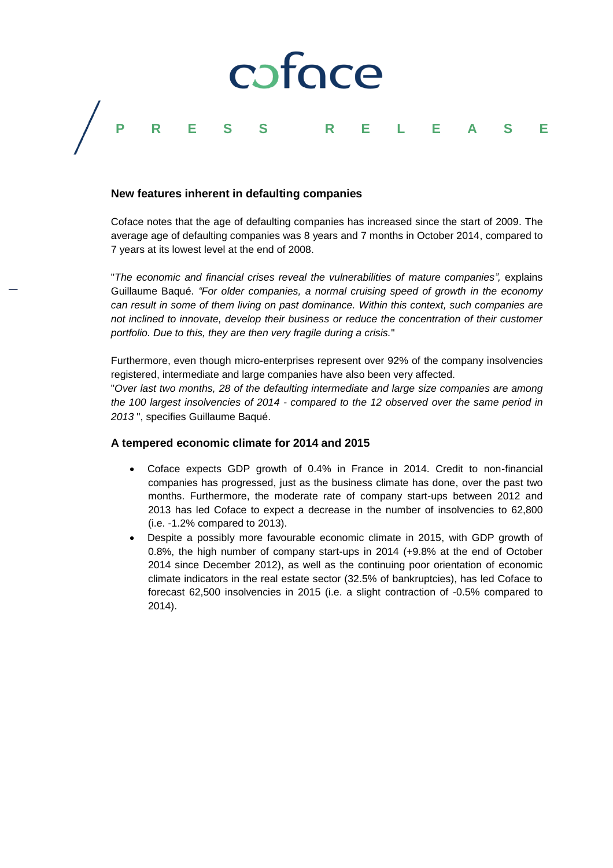

### **New features inherent in defaulting companies**

Coface notes that the age of defaulting companies has increased since the start of 2009. The average age of defaulting companies was 8 years and 7 months in October 2014, compared to 7 years at its lowest level at the end of 2008.

"*The economic and financial crises reveal the vulnerabilities of mature companies",* explains Guillaume Baqué. *"For older companies, a normal cruising speed of growth in the economy can result in some of them living on past dominance. Within this context, such companies are not inclined to innovate, develop their business or reduce the concentration of their customer portfolio. Due to this, they are then very fragile during a crisis.*"

Furthermore, even though micro-enterprises represent over 92% of the company insolvencies registered, intermediate and large companies have also been very affected.

"*Over last two months, 28 of the defaulting intermediate and large size companies are among the 100 largest insolvencies of 2014 - compared to the 12 observed over the same period in 2013* ", specifies Guillaume Baqué.

#### **A tempered economic climate for 2014 and 2015**

- Coface expects GDP growth of 0.4% in France in 2014. Credit to non-financial companies has progressed, just as the business climate has done, over the past two months. Furthermore, the moderate rate of company start-ups between 2012 and 2013 has led Coface to expect a decrease in the number of insolvencies to 62,800 (i.e. -1.2% compared to 2013).
- Despite a possibly more favourable economic climate in 2015, with GDP growth of 0.8%, the high number of company start-ups in 2014 (+9.8% at the end of October 2014 since December 2012), as well as the continuing poor orientation of economic climate indicators in the real estate sector (32.5% of bankruptcies), has led Coface to forecast 62,500 insolvencies in 2015 (i.e. a slight contraction of -0.5% compared to 2014).